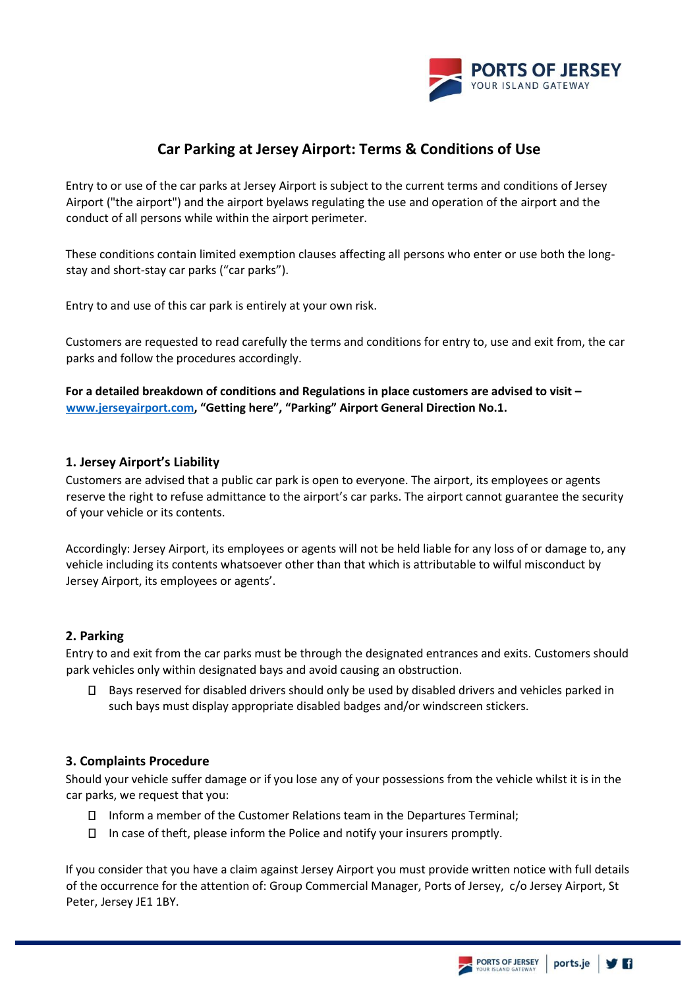

# **Car Parking at Jersey Airport: Terms & Conditions of Use**

Entry to or use of the car parks at Jersey Airport is subject to the current terms and conditions of Jersey Airport ("the airport") and the airport byelaws regulating the use and operation of the airport and the conduct of all persons while within the airport perimeter.

These conditions contain limited exemption clauses affecting all persons who enter or use both the longstay and short-stay car parks ("car parks").

Entry to and use of this car park is entirely at your own risk.

Customers are requested to read carefully the terms and conditions for entry to, use and exit from, the car parks and follow the procedures accordingly.

**For a detailed breakdown of conditions and Regulations in place customers are advised to visit – [www.jerseyairport.com](http://www.jerseyairport.com/), "Getting here", "Parking" Airport General Direction No.1.**

#### **1. Jersey Airport's Liability**

Customers are advised that a public car park is open to everyone. The airport, its employees or agents reserve the right to refuse admittance to the airport's car parks. The airport cannot guarantee the security of your vehicle or its contents.

Accordingly: Jersey Airport, its employees or agents will not be held liable for any loss of or damage to, any vehicle including its contents whatsoever other than that which is attributable to wilful misconduct by Jersey Airport, its employees or agents'.

# **2. Parking**

Entry to and exit from the car parks must be through the designated entrances and exits. Customers should park vehicles only within designated bays and avoid causing an obstruction.

 $\Box$ Bays reserved for disabled drivers should only be used by disabled drivers and vehicles parked in such bays must display appropriate disabled badges and/or windscreen stickers.

#### **3. Complaints Procedure**

Should your vehicle suffer damage or if you lose any of your possessions from the vehicle whilst it is in the car parks, we request that you:

- $\Box$  Inform a member of the Customer Relations team in the Departures Terminal;
- In case of theft, please inform the Police and notify your insurers promptly.

If you consider that you have a claim against Jersey Airport you must provide written notice with full details of the occurrence for the attention of: Group Commercial Manager, Ports of Jersey, c/o Jersey Airport, St Peter, Jersey JE1 1BY.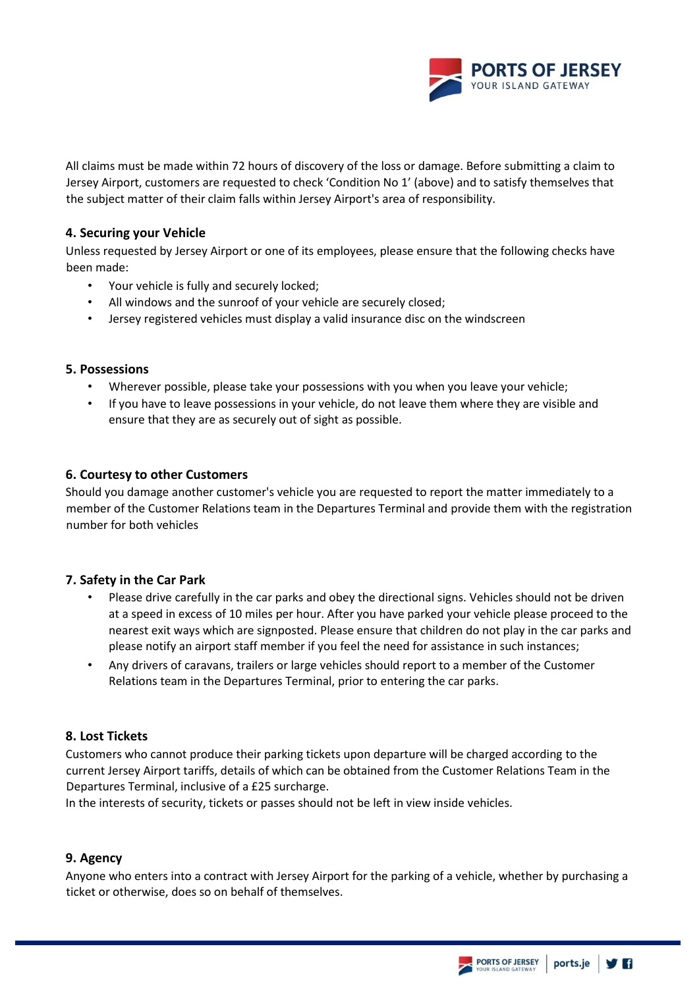

All claims must be made within 72 hours of discovery of the loss or damage. Before submitting a claim to Jersey Airport, customers are requested to check 'Condition No 1' (above) and to satisfy themselves that the subject matter of their claim falls within Jersey Airport's area of responsibility.

#### **4. Securing your Vehicle**

Unless requested by Jersey Airport or one of its employees, please ensure that the following checks have been made:

- Your vehicle is fully and securely locked;
- All windows and the sunroof of your vehicle are securely closed;
- Jersey registered vehicles must display a valid insurance disc on the windscreen

#### **5. Possessions**

- Wherever possible, please take your possessions with you when you leave your vehicle;
- If you have to leave possessions in your vehicle, do not leave them where they are visible and ensure that they are as securely out of sight as possible.

#### **6. Courtesy to other Customers**

Should you damage another customer's vehicle you are requested to report the matter immediately to a member of the Customer Relations team in the Departures Terminal and provide them with the registration number for both vehicles

#### **7. Safety in the Car Park**

- Please drive carefully in the car parks and obey the directional signs. Vehicles should not be driven at a speed in excess of 10 miles per hour. After you have parked your vehicle please proceed to the nearest exit ways which are signposted. Please ensure that children do not play in the car parks and please notify an airport staff member if you feel the need for assistance in such instances;
- Any drivers of caravans, trailers or large vehicles should report to a member of the Customer Relations team in the Departures Terminal, prior to entering the car parks.

#### **8. Lost Tickets**

Customers who cannot produce their parking tickets upon departure will be charged according to the current Jersey Airport tariffs, details of which can be obtained from the Customer Relations Team in the Departures Terminal, inclusive of a £25 surcharge.

In the interests of security, tickets or passes should not be left in view inside vehicles.

#### **9. Agency**

Anyone who enters into a contract with Jersey Airport for the parking of a vehicle, whether by purchasing a ticket or otherwise, does so on behalf of themselves.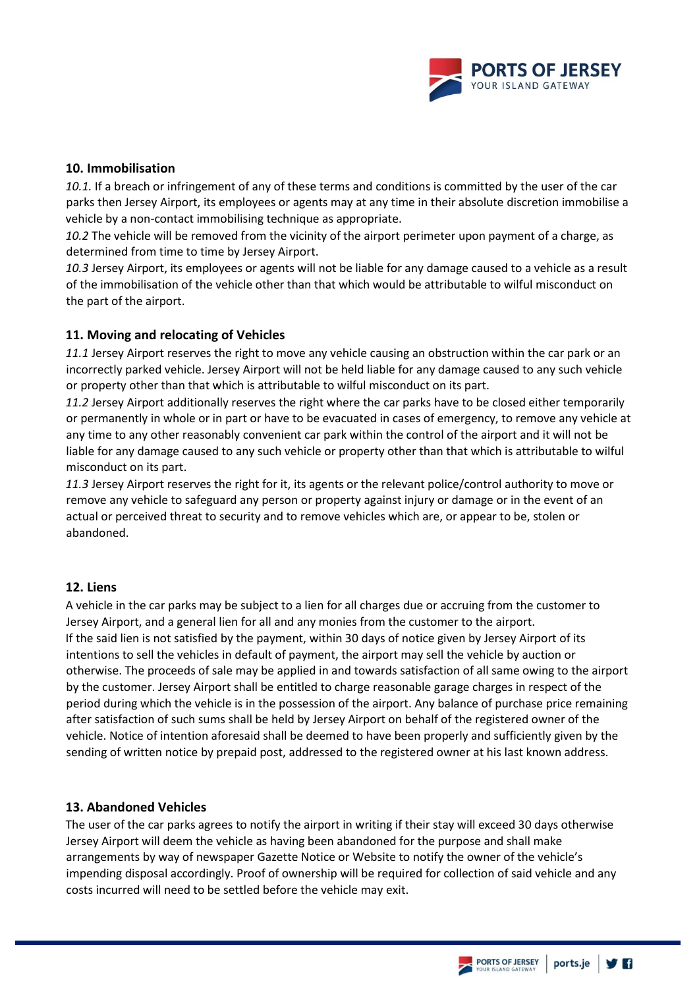

# **10. Immobilisation**

*10.1.* If a breach or infringement of any of these terms and conditions is committed by the user of the car parks then Jersey Airport, its employees or agents may at any time in their absolute discretion immobilise a vehicle by a non-contact immobilising technique as appropriate.

*10.2* The vehicle will be removed from the vicinity of the airport perimeter upon payment of a charge, as determined from time to time by Jersey Airport.

*10.3* Jersey Airport, its employees or agents will not be liable for any damage caused to a vehicle as a result of the immobilisation of the vehicle other than that which would be attributable to wilful misconduct on the part of the airport.

# **11. Moving and relocating of Vehicles**

*11.1* Jersey Airport reserves the right to move any vehicle causing an obstruction within the car park or an incorrectly parked vehicle. Jersey Airport will not be held liable for any damage caused to any such vehicle or property other than that which is attributable to wilful misconduct on its part.

*11.2* Jersey Airport additionally reserves the right where the car parks have to be closed either temporarily or permanently in whole or in part or have to be evacuated in cases of emergency, to remove any vehicle at any time to any other reasonably convenient car park within the control of the airport and it will not be liable for any damage caused to any such vehicle or property other than that which is attributable to wilful misconduct on its part.

*11.3* Jersey Airport reserves the right for it, its agents or the relevant police/control authority to move or remove any vehicle to safeguard any person or property against injury or damage or in the event of an actual or perceived threat to security and to remove vehicles which are, or appear to be, stolen or abandoned.

# **12. Liens**

A vehicle in the car parks may be subject to a lien for all charges due or accruing from the customer to Jersey Airport, and a general lien for all and any monies from the customer to the airport. If the said lien is not satisfied by the payment, within 30 days of notice given by Jersey Airport of its intentions to sell the vehicles in default of payment, the airport may sell the vehicle by auction or otherwise. The proceeds of sale may be applied in and towards satisfaction of all same owing to the airport by the customer. Jersey Airport shall be entitled to charge reasonable garage charges in respect of the period during which the vehicle is in the possession of the airport. Any balance of purchase price remaining after satisfaction of such sums shall be held by Jersey Airport on behalf of the registered owner of the vehicle. Notice of intention aforesaid shall be deemed to have been properly and sufficiently given by the sending of written notice by prepaid post, addressed to the registered owner at his last known address.

# **13. Abandoned Vehicles**

The user of the car parks agrees to notify the airport in writing if their stay will exceed 30 days otherwise Jersey Airport will deem the vehicle as having been abandoned for the purpose and shall make arrangements by way of newspaper Gazette Notice or Website to notify the owner of the vehicle's impending disposal accordingly. Proof of ownership will be required for collection of said vehicle and any costs incurred will need to be settled before the vehicle may exit.